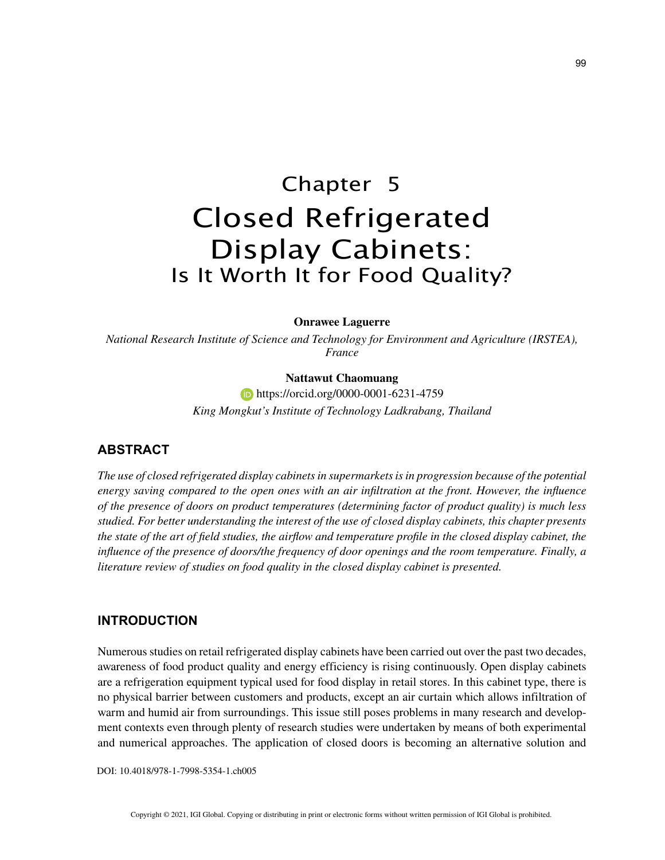# Chapter 5 Closed Refrigerated Display Cabinets: Is It Worth It for Food Quality?

#### **Onrawee Laguerre**

*National Research Institute of Science and Technology for Environment and Agriculture (IRSTEA), France*

### **Nattawut Chaomuang**

**https://orcid.org/0000-0001-6231-4759** *King Mongkut's Institute of Technology Ladkrabang, Thailand*

## **ABSTRACT**

*The use of closed refrigerated display cabinets in supermarkets is in progression because of the potential energy saving compared to the open ones with an air infiltration at the front. However, the influence of the presence of doors on product temperatures (determining factor of product quality) is much less studied. For better understanding the interest of the use of closed display cabinets, this chapter presents the state of the art of field studies, the airflow and temperature profile in the closed display cabinet, the influence of the presence of doors/the frequency of door openings and the room temperature. Finally, a literature review of studies on food quality in the closed display cabinet is presented.*

## **INTRODUCTION**

Numerous studies on retail refrigerated display cabinets have been carried out over the past two decades, awareness of food product quality and energy efficiency is rising continuously. Open display cabinets are a refrigeration equipment typical used for food display in retail stores. In this cabinet type, there is no physical barrier between customers and products, except an air curtain which allows infiltration of warm and humid air from surroundings. This issue still poses problems in many research and development contexts even through plenty of research studies were undertaken by means of both experimental and numerical approaches. The application of closed doors is becoming an alternative solution and

DOI: 10.4018/978-1-7998-5354-1.ch005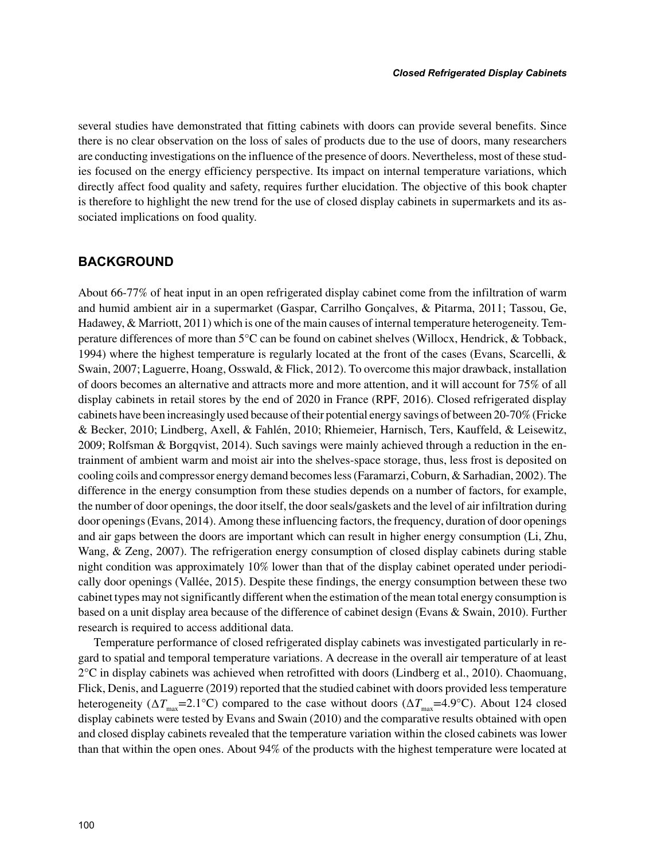several studies have demonstrated that fitting cabinets with doors can provide several benefits. Since there is no clear observation on the loss of sales of products due to the use of doors, many researchers are conducting investigations on the influence of the presence of doors. Nevertheless, most of these studies focused on the energy efficiency perspective. Its impact on internal temperature variations, which directly affect food quality and safety, requires further elucidation. The objective of this book chapter is therefore to highlight the new trend for the use of closed display cabinets in supermarkets and its associated implications on food quality.

## **BACKGROUND**

About 66-77% of heat input in an open refrigerated display cabinet come from the infiltration of warm and humid ambient air in a supermarket (Gaspar, Carrilho Gonçalves, & Pitarma, 2011; Tassou, Ge, Hadawey, & Marriott, 2011) which is one of the main causes of internal temperature heterogeneity. Temperature differences of more than 5°C can be found on cabinet shelves (Willocx, Hendrick, & Tobback, 1994) where the highest temperature is regularly located at the front of the cases (Evans, Scarcelli, & Swain, 2007; Laguerre, Hoang, Osswald, & Flick, 2012). To overcome this major drawback, installation of doors becomes an alternative and attracts more and more attention, and it will account for 75% of all display cabinets in retail stores by the end of 2020 in France (RPF, 2016). Closed refrigerated display cabinets have been increasingly used because of their potential energy savings of between 20-70% (Fricke & Becker, 2010; Lindberg, Axell, & Fahlén, 2010; Rhiemeier, Harnisch, Ters, Kauffeld, & Leisewitz, 2009; Rolfsman & Borgqvist, 2014). Such savings were mainly achieved through a reduction in the entrainment of ambient warm and moist air into the shelves-space storage, thus, less frost is deposited on cooling coils and compressor energy demand becomes less (Faramarzi, Coburn, & Sarhadian, 2002). The difference in the energy consumption from these studies depends on a number of factors, for example, the number of door openings, the door itself, the door seals/gaskets and the level of air infiltration during door openings (Evans, 2014). Among these influencing factors, the frequency, duration of door openings and air gaps between the doors are important which can result in higher energy consumption (Li, Zhu, Wang, & Zeng, 2007). The refrigeration energy consumption of closed display cabinets during stable night condition was approximately 10% lower than that of the display cabinet operated under periodically door openings (Vallée, 2015). Despite these findings, the energy consumption between these two cabinet types may not significantly different when the estimation of the mean total energy consumption is based on a unit display area because of the difference of cabinet design (Evans & Swain, 2010). Further research is required to access additional data.

Temperature performance of closed refrigerated display cabinets was investigated particularly in regard to spatial and temporal temperature variations. A decrease in the overall air temperature of at least  $2^{\circ}$ C in display cabinets was achieved when retrofitted with doors (Lindberg et al., 2010). Chaomuang, Flick, Denis, and Laguerre (2019) reported that the studied cabinet with doors provided less temperature heterogeneity ( $\Delta T_{\text{max}}$ =2.1°C) compared to the case without doors ( $\Delta T_{\text{max}}$ =4.9°C). About 124 closed display cabinets were tested by Evans and Swain (2010) and the comparative results obtained with open and closed display cabinets revealed that the temperature variation within the closed cabinets was lower than that within the open ones. About 94% of the products with the highest temperature were located at